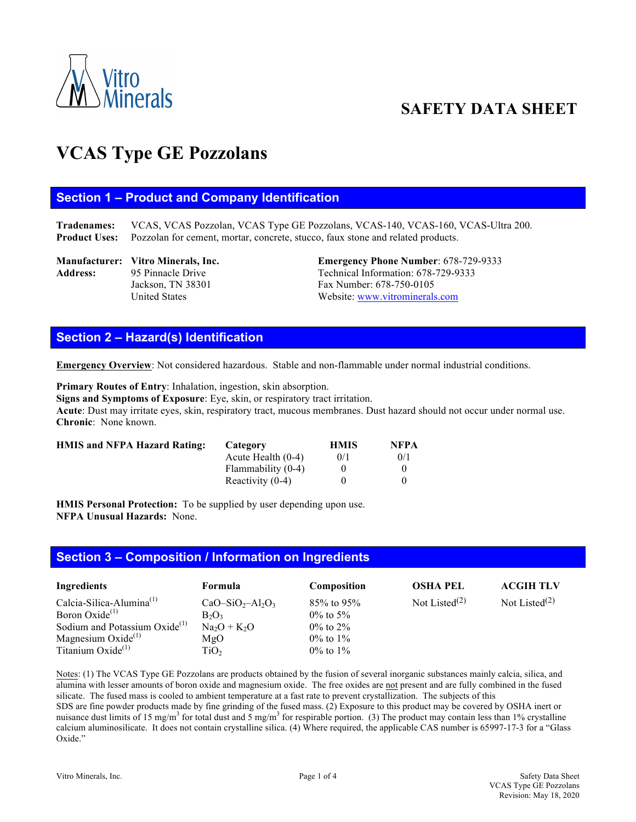

# **SAFETY DATA SHEET**

# **VCAS Type GE Pozzolans**

#### **Section 1 – Product and Company Identification**

**Tradenames:** VCAS, VCAS Pozzolan, VCAS Type GE Pozzolans, VCAS-140, VCAS-160, VCAS-Ultra 200. **Product Uses:** Pozzolan for cement, mortar, concrete, stucco, faux stone and related products.

Address: 95 Pinnacle Drive Technical Information: 678-729-9333 Jackson, TN 38301 Fax Number: 678-750-0105

**Manufacturer: Vitro Minerals, Inc. Emergency Phone Number**: 678-729-9333 United States Website: www.vitrominerals.com

# **Section 2 – Hazard(s) Identification**

**Emergency Overview**: Not considered hazardous. Stable and non-flammable under normal industrial conditions.

**Primary Routes of Entry**: Inhalation, ingestion, skin absorption. **Signs and Symptoms of Exposure**: Eye, skin, or respiratory tract irritation. **Acute**: Dust may irritate eyes, skin, respiratory tract, mucous membranes. Dust hazard should not occur under normal use. **Chronic**: None known.

| <b>HMIS and NFPA Hazard Rating:</b> | Category             | <b>HMIS</b> | <b>NFPA</b> |
|-------------------------------------|----------------------|-------------|-------------|
|                                     | Acute Health $(0-4)$ | 0/1         | 0/1         |
|                                     | Flammability (0-4)   |             |             |
|                                     | Reactivity $(0-4)$   |             |             |

**HMIS Personal Protection:** To be supplied by user depending upon use. **NFPA Unusual Hazards:** None.

#### **Section 3 – Composition / Information on Ingredients**

| Ingredients                               | <b>Formula</b>   | Composition    | <b>OSHA PEL</b>           | <b>ACGIH TLV</b> |
|-------------------------------------------|------------------|----------------|---------------------------|------------------|
| Calcia-Silica-Alumina $^{(1)}$            | $CaO-SiO2-Al2O3$ | $85\%$ to 95%  | Not Listed <sup>(2)</sup> | Not Listed $(2)$ |
| Boron Oxide <sup>(1)</sup>                | $B_2O_3$         | $0\%$ to 5%    |                           |                  |
| Sodium and Potassium Oxide <sup>(1)</sup> | $Na2O + K2O$     | $0\%$ to $2\%$ |                           |                  |
| Magnesium Oxide $^{(1)}$                  | MgO              | $0\%$ to $1\%$ |                           |                  |
| Titanium Oxide $(1)$                      | TiO,             | $0\%$ to $1\%$ |                           |                  |

Notes: (1) The VCAS Type GE Pozzolans are products obtained by the fusion of several inorganic substances mainly calcia, silica, and alumina with lesser amounts of boron oxide and magnesium oxide. The free oxides are not present and are fully combined in the fused silicate. The fused mass is cooled to ambient temperature at a fast rate to prevent crystallization. The subjects of this SDS are fine powder products made by fine grinding of the fused mass. (2) Exposure to this product may be covered by OSHA inert or nuisance dust limits of 15 mg/m<sup>3</sup> for total dust and 5 mg/m<sup>3</sup> for respirable portion. (3) The product may contain less than 1% crystalline calcium aluminosilicate. It does not contain crystalline silica. (4) Where required, the applicable CAS number is 65997-17-3 for a "Glass Oxide."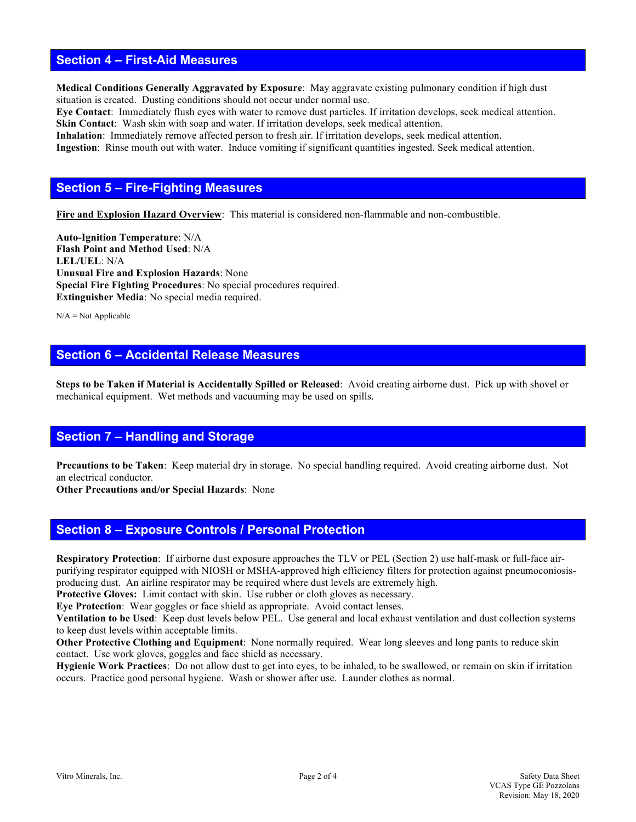#### **Section 4 – First-Aid Measures**

**Medical Conditions Generally Aggravated by Exposure**: May aggravate existing pulmonary condition if high dust situation is created. Dusting conditions should not occur under normal use.

**Eye Contact**: Immediately flush eyes with water to remove dust particles. If irritation develops, seek medical attention. **Skin Contact:** Wash skin with soap and water. If irritation develops, seek medical attention.

**Inhalation**: Immediately remove affected person to fresh air. If irritation develops, seek medical attention. **Ingestion**: Rinse mouth out with water. Induce vomiting if significant quantities ingested. Seek medical attention.

## **Section 5 – Fire-Fighting Measures**

**Fire and Explosion Hazard Overview**: This material is considered non-flammable and non-combustible.

**Auto-Ignition Temperature**: N/A **Flash Point and Method Used**: N/A **LEL/UEL**: N/A **Unusual Fire and Explosion Hazards**: None **Special Fire Fighting Procedures**: No special procedures required. **Extinguisher Media**: No special media required.

 $N/A = Not$  Applicable

# **Section 6 – Accidental Release Measures**

**Steps to be Taken if Material is Accidentally Spilled or Released**: Avoid creating airborne dust. Pick up with shovel or mechanical equipment. Wet methods and vacuuming may be used on spills.

### **Section 7 – Handling and Storage**

**Precautions to be Taken**: Keep material dry in storage. No special handling required. Avoid creating airborne dust. Not an electrical conductor.

**Other Precautions and/or Special Hazards**: None

#### **Section 8 – Exposure Controls / Personal Protection**

**Respiratory Protection**: If airborne dust exposure approaches the TLV or PEL (Section 2) use half-mask or full-face airpurifying respirator equipped with NIOSH or MSHA-approved high efficiency filters for protection against pneumoconiosisproducing dust. An airline respirator may be required where dust levels are extremely high.

**Protective Gloves:** Limit contact with skin. Use rubber or cloth gloves as necessary. **Eye Protection**: Wear goggles or face shield as appropriate. Avoid contact lenses.

**Ventilation to be Used**: Keep dust levels below PEL. Use general and local exhaust ventilation and dust collection systems to keep dust levels within acceptable limits.

**Other Protective Clothing and Equipment**: None normally required. Wear long sleeves and long pants to reduce skin contact. Use work gloves, goggles and face shield as necessary.

**Hygienic Work Practices**: Do not allow dust to get into eyes, to be inhaled, to be swallowed, or remain on skin if irritation occurs. Practice good personal hygiene. Wash or shower after use. Launder clothes as normal.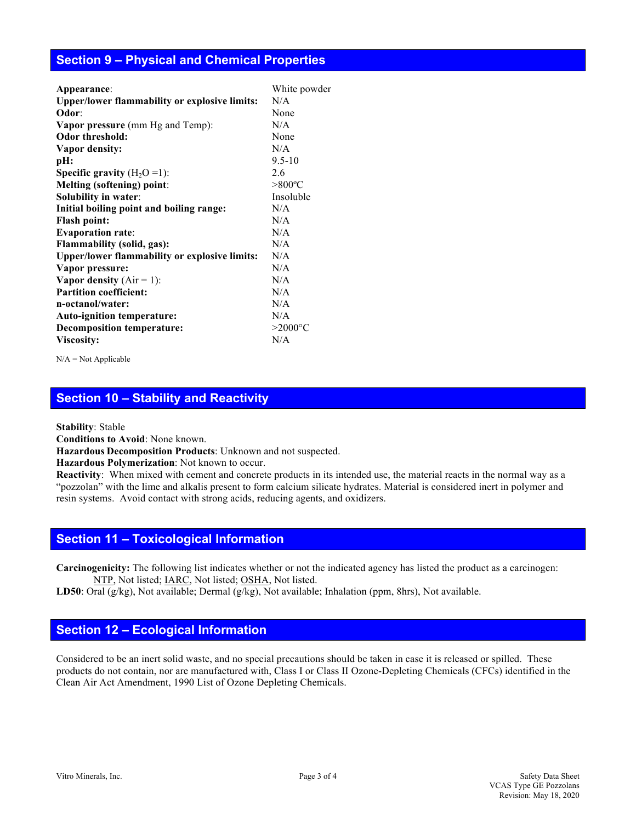#### **Section 9 – Physical and Chemical Properties**

| Appearance:                                          | White powder           |
|------------------------------------------------------|------------------------|
| <b>Upper/lower flammability or explosive limits:</b> | N/A                    |
| Odor:                                                | None                   |
| <b>Vapor pressure</b> (mm Hg and Temp):              | N/A                    |
| <b>Odor threshold:</b>                               | None                   |
| Vapor density:                                       | N/A                    |
| pH:                                                  | $9.5 - 10$             |
| <b>Specific gravity</b> $(H_2O=1)$ :                 | 2.6                    |
| <b>Melting (softening) point:</b>                    | $> 800$ <sup>o</sup> C |
| Solubility in water:                                 | Insoluble              |
| Initial boiling point and boiling range:             | N/A                    |
| <b>Flash point:</b>                                  | N/A                    |
| <b>Evaporation rate:</b>                             | N/A                    |
| <b>Flammability (solid, gas):</b>                    | N/A                    |
| <b>Upper/lower flammability or explosive limits:</b> | N/A                    |
| Vapor pressure:                                      | N/A                    |
| Vapor density $(Air = 1)$ :                          | N/A                    |
| <b>Partition coefficient:</b>                        | N/A                    |
| n-octanol/water:                                     | N/A                    |
| Auto-ignition temperature:                           | N/A                    |
| <b>Decomposition temperature:</b>                    | $>2000$ °C             |
| Viscosity:                                           | N/A                    |
|                                                      |                        |

 $N/A = Not$  Applicable

### **Section 10 – Stability and Reactivity**

**Stability**: Stable

**Conditions to Avoid**: None known.

**Hazardous Decomposition Products**: Unknown and not suspected.

**Hazardous Polymerization**: Not known to occur.

**Reactivity**:When mixed with cement and concrete products in its intended use, the material reacts in the normal way as a "pozzolan" with the lime and alkalis present to form calcium silicate hydrates. Material is considered inert in polymer and resin systems. Avoid contact with strong acids, reducing agents, and oxidizers.

#### **Section 11 – Toxicological Information**

**Carcinogenicity:** The following list indicates whether or not the indicated agency has listed the product as a carcinogen: NTP, Not listed; IARC, Not listed; OSHA, Not listed.

**LD50**: Oral (g/kg), Not available; Dermal (g/kg), Not available; Inhalation (ppm, 8hrs), Not available.

# **Section 12 – Ecological Information**

Considered to be an inert solid waste, and no special precautions should be taken in case it is released or spilled. These products do not contain, nor are manufactured with, Class I or Class II Ozone-Depleting Chemicals (CFCs) identified in the Clean Air Act Amendment, 1990 List of Ozone Depleting Chemicals.